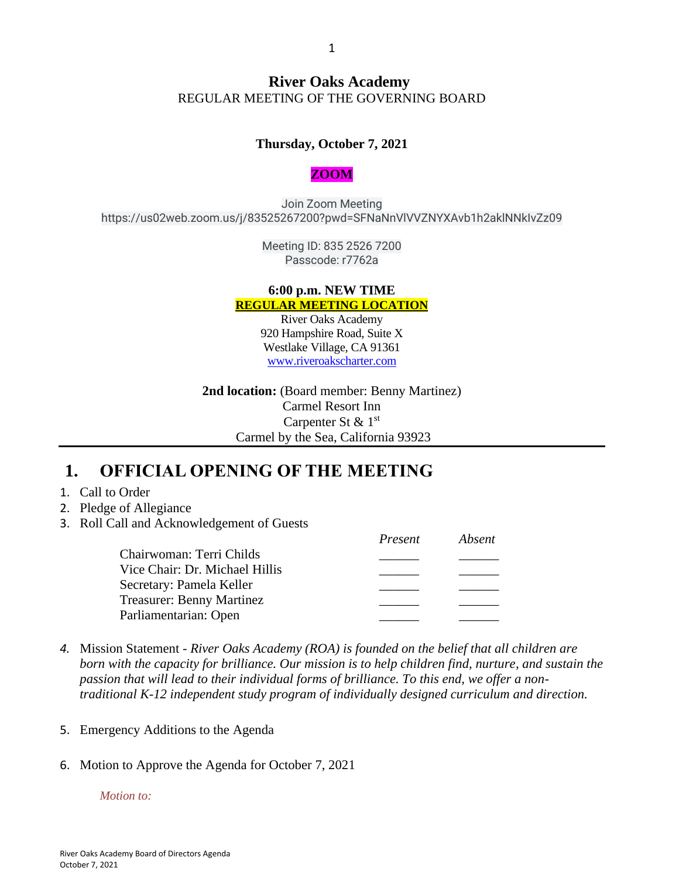#### **River Oaks Academy** REGULAR MEETING OF THE GOVERNING BOARD

#### **Thursday, October 7, 2021**

#### **ZOOM**

Join Zoom Meeting https://us02web.zoom.us/j/83525267200?pwd=SFNaNnVlVVZNYXAvb1h2aklNNkIvZz09

> Meeting ID: 835 2526 7200 Passcode: r7762a

#### **6:00 p.m. NEW TIME REGULAR MEETING LOCATION**

River Oaks Academy 920 Hampshire Road, Suite X Westlake Village, CA 91361 [www.riveroakscharter.com](http://www.riveroakscharter.com/)

**2nd location:** (Board member: Benny Martinez) Carmel Resort Inn Carpenter St & 1st Carmel by the Sea, California 93923

*Present Absent*

#### **1. OFFICIAL OPENING OF THE MEETING**

- 1. Call to Order
- 2. Pledge of Allegiance
- 3. Roll Call and Acknowledgement of Guests

|                                  | r resent | Avseni |
|----------------------------------|----------|--------|
| Chairwoman: Terri Childs         |          |        |
| Vice Chair: Dr. Michael Hillis   |          |        |
| Secretary: Pamela Keller         |          |        |
| <b>Treasurer: Benny Martinez</b> |          |        |
| Parliamentarian: Open            |          |        |
|                                  |          |        |

- *4.* Mission Statement *River Oaks Academy (ROA) is founded on the belief that all children are born with the capacity for brilliance. Our mission is to help children find, nurture, and sustain the passion that will lead to their individual forms of brilliance. To this end, we offer a nontraditional K-12 independent study program of individually designed curriculum and direction.*
- 5. Emergency Additions to the Agenda
- 6. Motion to Approve the Agenda for October 7, 2021

*Motion to:*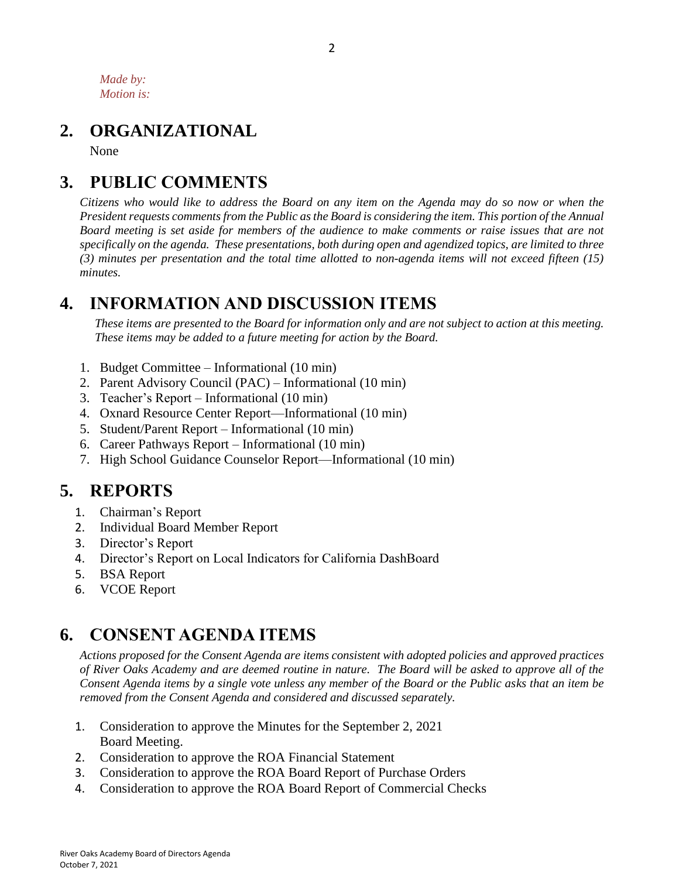*Made by: Motion is:*

### **2. ORGANIZATIONAL**

None

# **3. PUBLIC COMMENTS**

*Citizens who would like to address the Board on any item on the Agenda may do so now or when the President requests comments from the Public as the Board is considering the item. This portion of the Annual Board meeting is set aside for members of the audience to make comments or raise issues that are not specifically on the agenda. These presentations, both during open and agendized topics, are limited to three (3) minutes per presentation and the total time allotted to non-agenda items will not exceed fifteen (15) minutes.*

### **4. INFORMATION AND DISCUSSION ITEMS**

*These items are presented to the Board for information only and are not subject to action at this meeting. These items may be added to a future meeting for action by the Board.*

- 1. Budget Committee Informational (10 min)
- 2. Parent Advisory Council (PAC) Informational (10 min)
- 3. Teacher's Report Informational (10 min)
- 4. Oxnard Resource Center Report—Informational (10 min)
- 5. Student/Parent Report Informational (10 min)
- 6. Career Pathways Report Informational (10 min)
- 7. High School Guidance Counselor Report—Informational (10 min)

# **5. REPORTS**

- 1. Chairman's Report
- 2. Individual Board Member Report
- 3. Director's Report
- 4. Director's Report on Local Indicators for California DashBoard
- 5. BSA Report
- 6. VCOE Report

#### **6. CONSENT AGENDA ITEMS**

*Actions proposed for the Consent Agenda are items consistent with adopted policies and approved practices of River Oaks Academy and are deemed routine in nature. The Board will be asked to approve all of the Consent Agenda items by a single vote unless any member of the Board or the Public asks that an item be removed from the Consent Agenda and considered and discussed separately.*

- 1. Consideration to approve the Minutes for the September 2, 2021 Board Meeting.
- 2. Consideration to approve the ROA Financial Statement
- 3. Consideration to approve the ROA Board Report of Purchase Orders
- 4. Consideration to approve the ROA Board Report of Commercial Checks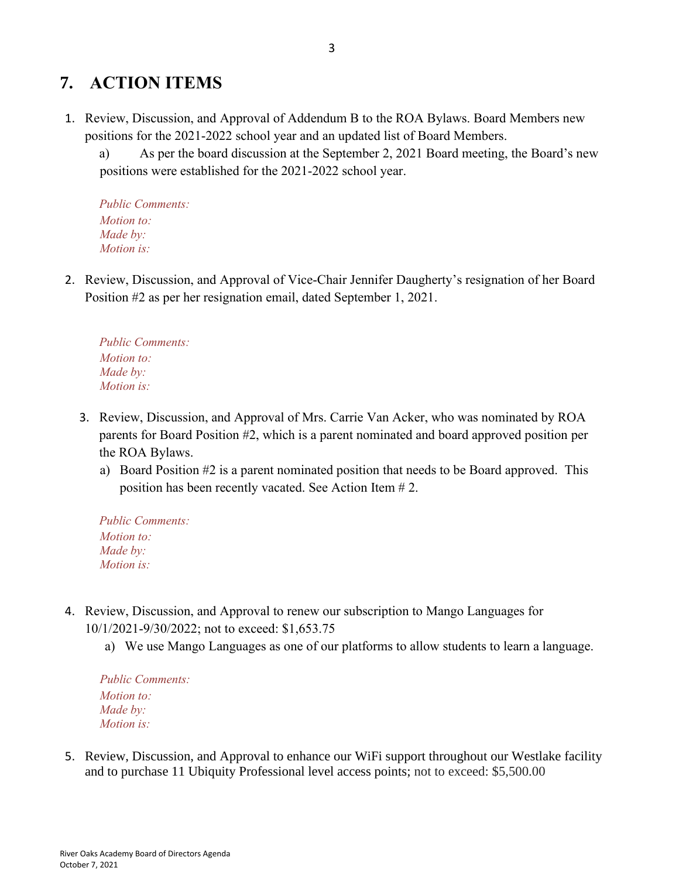### **7. ACTION ITEMS**

- 1. Review, Discussion, and Approval of Addendum B to the ROA Bylaws. Board Members new positions for the 2021-2022 school year and an updated list of Board Members.
	- a) As per the board discussion at the September 2, 2021 Board meeting, the Board's new positions were established for the 2021-2022 school year.

*Public Comments: Motion to: Made by: Motion is:*

2. Review, Discussion, and Approval of Vice-Chair Jennifer Daugherty's resignation of her Board Position #2 as per her resignation email, dated September 1, 2021.

*Public Comments: Motion to: Made by: Motion is:*

- 3. Review, Discussion, and Approval of Mrs. Carrie Van Acker, who was nominated by ROA parents for Board Position #2, which is a parent nominated and board approved position per the ROA Bylaws.
	- a) Board Position #2 is a parent nominated position that needs to be Board approved. This position has been recently vacated. See Action Item # 2.

*Public Comments: Motion to: Made by: Motion is:*

- 4. Review, Discussion, and Approval to renew our subscription to Mango Languages for 10/1/2021-9/30/2022; not to exceed: \$1,653.75
	- a) We use Mango Languages as one of our platforms to allow students to learn a language.

*Public Comments: Motion to: Made by: Motion is:*

5. Review, Discussion, and Approval to enhance our WiFi support throughout our Westlake facility and to purchase 11 Ubiquity Professional level access points; not to exceed: \$5,500.00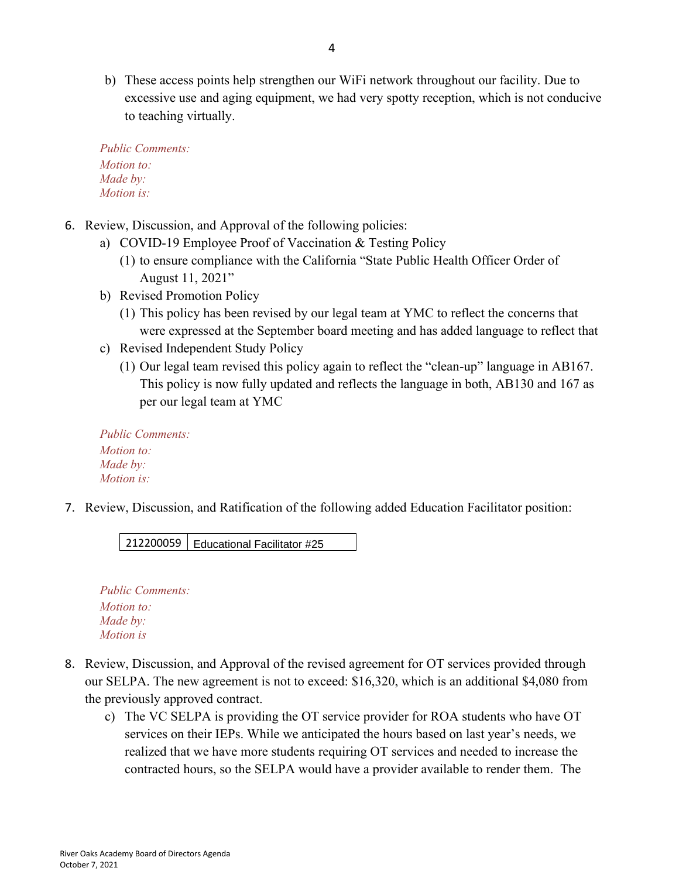b) These access points help strengthen our WiFi network throughout our facility. Due to excessive use and aging equipment, we had very spotty reception, which is not conducive to teaching virtually.

```
Public Comments:
Motion to:
Made by:
Motion is:
```
- 6. Review, Discussion, and Approval of the following policies:
	- a) COVID-19 Employee Proof of Vaccination & Testing Policy
		- (1) to ensure compliance with the California "State Public Health Officer Order of August 11, 2021"
	- b) Revised Promotion Policy
		- (1) This policy has been revised by our legal team at YMC to reflect the concerns that were expressed at the September board meeting and has added language to reflect that
	- c) Revised Independent Study Policy
		- (1) Our legal team revised this policy again to reflect the "clean-up" language in AB167. This policy is now fully updated and reflects the language in both, AB130 and 167 as per our legal team at YMC

*Public Comments: Motion to: Made by: Motion is:*

7. Review, Discussion, and Ratification of the following added Education Facilitator position:

212200059 Educational Facilitator #25

*Public Comments: Motion to: Made by: Motion is*

- 8. Review, Discussion, and Approval of the revised agreement for OT services provided through our SELPA. The new agreement is not to exceed: \$16,320, which is an additional \$4,080 from the previously approved contract.
	- c) The VC SELPA is providing the OT service provider for ROA students who have OT services on their IEPs. While we anticipated the hours based on last year's needs, we realized that we have more students requiring OT services and needed to increase the contracted hours, so the SELPA would have a provider available to render them. The